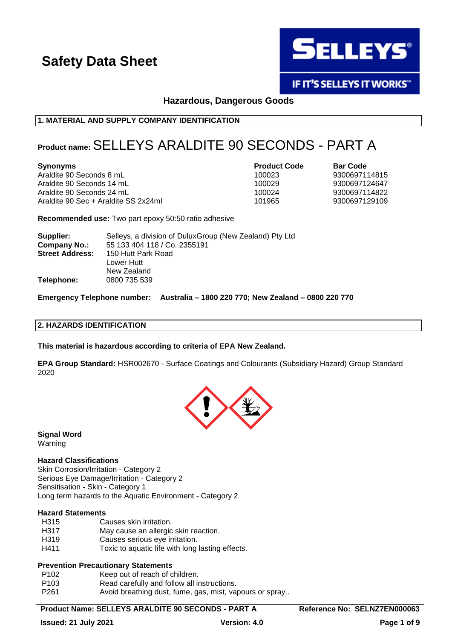

**IF IT'S SELLEYS IT WORKS"** 

**Hazardous, Dangerous Goods**

# **1. MATERIAL AND SUPPLY COMPANY IDENTIFICATION**

# **Product name:** SELLEYS ARALDITE 90 SECONDS - PART A

Araldite 90 Seconds 8 mL 100023 9300697114815 Araldite 90 Seconds 14 mL Araldite 90 Seconds 24 mL Araldite 90 Sec + Araldite SS 2x24ml 101965 9300697129109

**Synonyms Product Code Bar Code**

**Recommended use:** Two part epoxy 50:50 ratio adhesive

| Supplier:              | Selleys, a division of DuluxGroup (New Zealand) Pty Ltd |
|------------------------|---------------------------------------------------------|
| Company No.:           | 55 133 404 118 / Co. 2355191                            |
| <b>Street Address:</b> | 150 Hutt Park Road                                      |
|                        | Lower Hutt                                              |
|                        | New Zealand                                             |
| Telephone:             | 0800 735 539                                            |

**Emergency Telephone number: Australia – 1800 220 770; New Zealand – 0800 220 770**

### **2. HAZARDS IDENTIFICATION**

**This material is hazardous according to criteria of EPA New Zealand.**

**EPA Group Standard:** HSR002670 - Surface Coatings and Colourants (Subsidiary Hazard) Group Standard 2020



**Signal Word** Warning

# **Hazard Classifications**

Skin Corrosion/Irritation - Category 2 Serious Eye Damage/Irritation - Category 2 Sensitisation - Skin - Category 1 Long term hazards to the Aquatic Environment - Category 2

### **Hazard Statements**

H315 Causes skin irritation. H317 May cause an allergic skin reaction. H319 Causes serious eve irritation. H411 Toxic to aquatic life with long lasting effects.

# **Prevention Precautionary Statements**

P102 Keep out of reach of children.

- P103 Read carefully and follow all instructions.
- P261 Avoid breathing dust, fume, gas, mist, vapours or spray..

# Product Name: SELLEYS ARALDITE 90 SECONDS - PART A **Reference No: SELNZ7EN000063**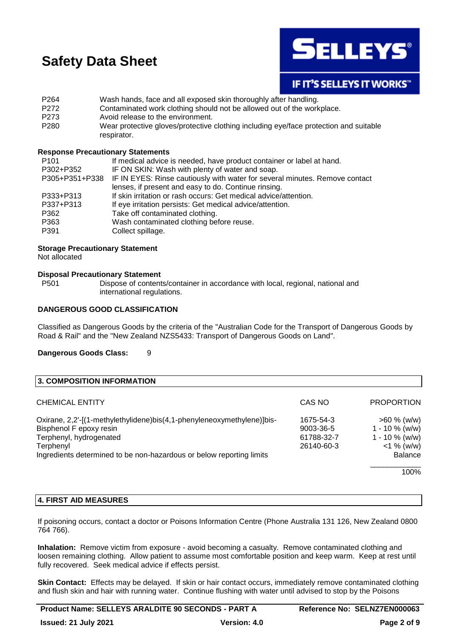

# **IF IT'S SELLEYS IT WORKS"**

P264 Wash hands, face and all exposed skin thoroughly after handling. P272 Contaminated work clothing should not be allowed out of the workplace. P273 Avoid release to the environment. P280 Wear protective gloves/protective clothing including eye/face protection and suitable respirator.

### **Response Precautionary Statements**

| P <sub>101</sub> | If medical advice is needed, have product container or label at hand.                      |
|------------------|--------------------------------------------------------------------------------------------|
| P302+P352        | IF ON SKIN: Wash with plenty of water and soap.                                            |
|                  | P305+P351+P338 IF IN EYES: Rinse cautiously with water for several minutes. Remove contact |
|                  | lenses, if present and easy to do. Continue rinsing.                                       |
| P333+P313        | If skin irritation or rash occurs: Get medical advice/attention.                           |
| P337+P313        | If eye irritation persists: Get medical advice/attention.                                  |
| P362             | Take off contaminated clothing.                                                            |
| P363             | Wash contaminated clothing before reuse.                                                   |
| P391             | Collect spillage.                                                                          |

# **Storage Precautionary Statement**

Not allocated

# **Disposal Precautionary Statement**

P501 Dispose of contents/container in accordance with local, regional, national and international regulations.

### **DANGEROUS GOOD CLASSIFICATION**

Classified as Dangerous Goods by the criteria of the "Australian Code for the Transport of Dangerous Goods by Road & Rail" and the "New Zealand NZS5433: Transport of Dangerous Goods on Land".

### **Dangerous Goods Class:** 9

| 3. COMPOSITION INFORMATION                                             |            |                   |
|------------------------------------------------------------------------|------------|-------------------|
| <b>CHEMICAL ENTITY</b>                                                 | CAS NO     | <b>PROPORTION</b> |
| Oxirane, 2,2'-[(1-methylethylidene)bis(4,1-phenyleneoxymethylene)]bis- | 1675-54-3  | $>60 \%$ (w/w)    |
| Bisphenol F epoxy resin                                                | 9003-36-5  | $1 - 10 \%$ (w/w) |
| Terphenyl, hydrogenated                                                | 61788-32-7 | $1 - 10 \%$ (w/w) |
| Terphenyl                                                              | 26140-60-3 | $<$ 1 % (w/w)     |
| Ingredients determined to be non-hazardous or below reporting limits   |            | <b>Balance</b>    |
|                                                                        |            | 100%              |

### **4. FIRST AID MEASURES**

If poisoning occurs, contact a doctor or Poisons Information Centre (Phone Australia 131 126, New Zealand 0800 764 766).

**Inhalation:** Remove victim from exposure - avoid becoming a casualty. Remove contaminated clothing and loosen remaining clothing. Allow patient to assume most comfortable position and keep warm. Keep at rest until fully recovered. Seek medical advice if effects persist.

**Skin Contact:** Effects may be delayed. If skin or hair contact occurs, immediately remove contaminated clothing and flush skin and hair with running water. Continue flushing with water until advised to stop by the Poisons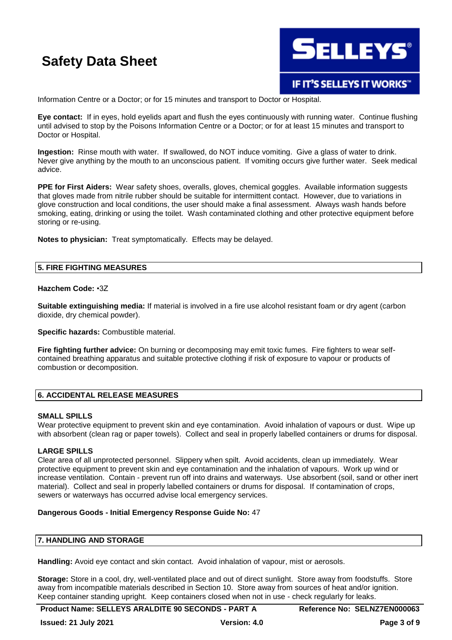

Information Centre or a Doctor; or for 15 minutes and transport to Doctor or Hospital.

**Eye contact:** If in eyes, hold eyelids apart and flush the eyes continuously with running water. Continue flushing until advised to stop by the Poisons Information Centre or a Doctor; or for at least 15 minutes and transport to Doctor or Hospital.

**Ingestion:** Rinse mouth with water. If swallowed, do NOT induce vomiting. Give a glass of water to drink. Never give anything by the mouth to an unconscious patient. If vomiting occurs give further water. Seek medical advice.

**PPE for First Aiders:** Wear safety shoes, overalls, gloves, chemical goggles. Available information suggests that gloves made from nitrile rubber should be suitable for intermittent contact. However, due to variations in glove construction and local conditions, the user should make a final assessment. Always wash hands before smoking, eating, drinking or using the toilet. Wash contaminated clothing and other protective equipment before storing or re-using.

**Notes to physician:** Treat symptomatically. Effects may be delayed.

### **5. FIRE FIGHTING MEASURES**

### **Hazchem Code:** •3Z

**Suitable extinguishing media:** If material is involved in a fire use alcohol resistant foam or dry agent (carbon dioxide, dry chemical powder).

**Specific hazards:** Combustible material.

**Fire fighting further advice:** On burning or decomposing may emit toxic fumes. Fire fighters to wear selfcontained breathing apparatus and suitable protective clothing if risk of exposure to vapour or products of combustion or decomposition.

# **6. ACCIDENTAL RELEASE MEASURES**

### **SMALL SPILLS**

Wear protective equipment to prevent skin and eye contamination. Avoid inhalation of vapours or dust. Wipe up with absorbent (clean rag or paper towels). Collect and seal in properly labelled containers or drums for disposal.

### **LARGE SPILLS**

Clear area of all unprotected personnel. Slippery when spilt. Avoid accidents, clean up immediately. Wear protective equipment to prevent skin and eye contamination and the inhalation of vapours. Work up wind or increase ventilation. Contain - prevent run off into drains and waterways. Use absorbent (soil, sand or other inert material). Collect and seal in properly labelled containers or drums for disposal. If contamination of crops, sewers or waterways has occurred advise local emergency services.

### **Dangerous Goods - Initial Emergency Response Guide No:** 47

### **7. HANDLING AND STORAGE**

**Handling:** Avoid eye contact and skin contact. Avoid inhalation of vapour, mist or aerosols.

**Storage:** Store in a cool, dry, well-ventilated place and out of direct sunlight. Store away from foodstuffs. Store away from incompatible materials described in Section 10. Store away from sources of heat and/or ignition. Keep container standing upright. Keep containers closed when not in use - check regularly for leaks.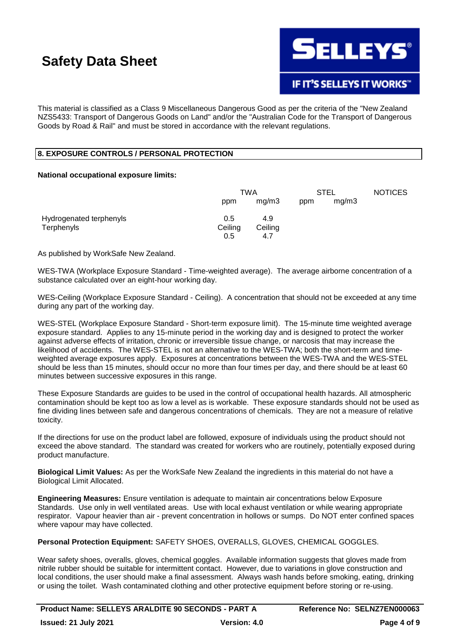

**IF IT'S SELLEYS IT WORKS"** 

This material is classified as a Class 9 Miscellaneous Dangerous Good as per the criteria of the "New Zealand NZS5433: Transport of Dangerous Goods on Land" and/or the "Australian Code for the Transport of Dangerous Goods by Road & Rail" and must be stored in accordance with the relevant regulations.

# **8. EXPOSURE CONTROLS / PERSONAL PROTECTION**

### **National occupational exposure limits:**

|                         | TWA     |         | <b>STEL</b> |       | <b>NOTICES</b> |
|-------------------------|---------|---------|-------------|-------|----------------|
|                         | ppm     | mg/m3   | ppm         | mg/m3 |                |
| Hydrogenated terphenyls | 0.5     | 4.9     |             |       |                |
| Terphenyls              | Ceiling | Ceiling |             |       |                |
|                         | 0.5     | 4.7     |             |       |                |

As published by WorkSafe New Zealand.

WES-TWA (Workplace Exposure Standard - Time-weighted average). The average airborne concentration of a substance calculated over an eight-hour working day.

WES-Ceiling (Workplace Exposure Standard - Ceiling). A concentration that should not be exceeded at any time during any part of the working day.

WES-STEL (Workplace Exposure Standard - Short-term exposure limit). The 15-minute time weighted average exposure standard. Applies to any 15-minute period in the working day and is designed to protect the worker against adverse effects of irritation, chronic or irreversible tissue change, or narcosis that may increase the likelihood of accidents. The WES-STEL is not an alternative to the WES-TWA; both the short-term and timeweighted average exposures apply. Exposures at concentrations between the WES-TWA and the WES-STEL should be less than 15 minutes, should occur no more than four times per day, and there should be at least 60 minutes between successive exposures in this range.

These Exposure Standards are guides to be used in the control of occupational health hazards. All atmospheric contamination should be kept too as low a level as is workable. These exposure standards should not be used as fine dividing lines between safe and dangerous concentrations of chemicals. They are not a measure of relative toxicity.

If the directions for use on the product label are followed, exposure of individuals using the product should not exceed the above standard. The standard was created for workers who are routinely, potentially exposed during product manufacture.

**Biological Limit Values:** As per the WorkSafe New Zealand the ingredients in this material do not have a Biological Limit Allocated.

**Engineering Measures:** Ensure ventilation is adequate to maintain air concentrations below Exposure Standards. Use only in well ventilated areas. Use with local exhaust ventilation or while wearing appropriate respirator. Vapour heavier than air - prevent concentration in hollows or sumps. Do NOT enter confined spaces where vapour may have collected.

**Personal Protection Equipment:** SAFETY SHOES, OVERALLS, GLOVES, CHEMICAL GOGGLES.

Wear safety shoes, overalls, gloves, chemical goggles. Available information suggests that gloves made from nitrile rubber should be suitable for intermittent contact. However, due to variations in glove construction and local conditions, the user should make a final assessment. Always wash hands before smoking, eating, drinking or using the toilet. Wash contaminated clothing and other protective equipment before storing or re-using.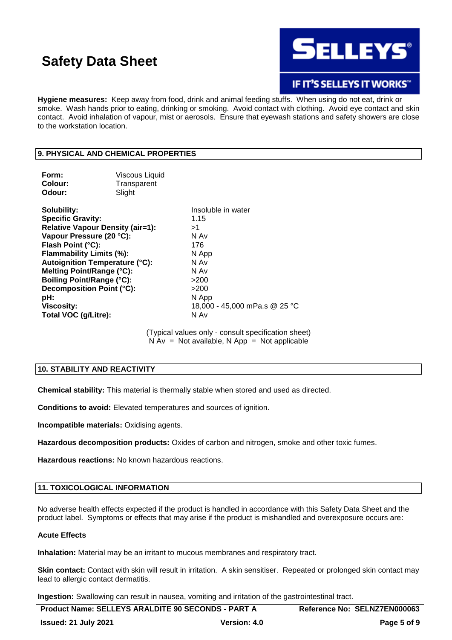

**IF IT'S SELLEYS IT WORKS"** 

**Hygiene measures:** Keep away from food, drink and animal feeding stuffs. When using do not eat, drink or smoke. Wash hands prior to eating, drinking or smoking. Avoid contact with clothing. Avoid eye contact and skin contact. Avoid inhalation of vapour, mist or aerosols. Ensure that eyewash stations and safety showers are close to the workstation location.

# **9. PHYSICAL AND CHEMICAL PROPERTIES**

| Form:                                 | <b>Viscous Liquid</b>                   |                               |
|---------------------------------------|-----------------------------------------|-------------------------------|
| Colour:                               | Transparent                             |                               |
| Odour:                                | Slight                                  |                               |
| Solubility:                           |                                         | Insoluble in water            |
| <b>Specific Gravity:</b>              |                                         | 1.15                          |
|                                       | <b>Relative Vapour Density (air=1):</b> | >1                            |
| Vapour Pressure (20 °C):              |                                         | N Av                          |
| Flash Point (°C):                     |                                         | 176                           |
| Flammability Limits (%):              |                                         | N App                         |
| <b>Autoignition Temperature (°C):</b> |                                         | N Av                          |
| Melting Point/Range (°C):             |                                         | N Av                          |
| <b>Boiling Point/Range (°C):</b>      |                                         | >200                          |
| Decomposition Point (°C):             |                                         | >200                          |
| pH:                                   |                                         | N App                         |
| <b>Viscosity:</b>                     |                                         | 18,000 - 45,000 mPa.s @ 25 °C |
| Total VOC (g/Litre):                  |                                         | N Av                          |
|                                       |                                         |                               |

(Typical values only - consult specification sheet)  $N Av = Not available, N App = Not applicable$ 

# **10. STABILITY AND REACTIVITY**

**Chemical stability:** This material is thermally stable when stored and used as directed.

**Conditions to avoid:** Elevated temperatures and sources of ignition.

**Incompatible materials:** Oxidising agents.

**Hazardous decomposition products:** Oxides of carbon and nitrogen, smoke and other toxic fumes.

**Hazardous reactions:** No known hazardous reactions.

# **11. TOXICOLOGICAL INFORMATION**

No adverse health effects expected if the product is handled in accordance with this Safety Data Sheet and the product label. Symptoms or effects that may arise if the product is mishandled and overexposure occurs are:

### **Acute Effects**

**Inhalation:** Material may be an irritant to mucous membranes and respiratory tract.

**Skin contact:** Contact with skin will result in irritation. A skin sensitiser. Repeated or prolonged skin contact may lead to allergic contact dermatitis.

**Ingestion:** Swallowing can result in nausea, vomiting and irritation of the gastrointestinal tract.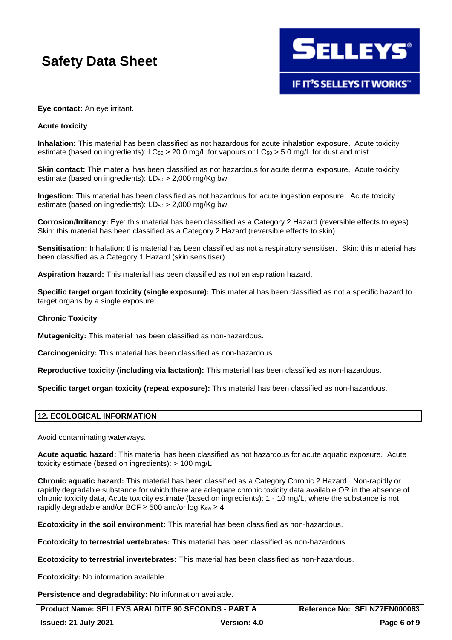

# **Eye contact:** An eye irritant.

# **Acute toxicity**

**Inhalation:** This material has been classified as not hazardous for acute inhalation exposure. Acute toxicity estimate (based on ingredients):  $LC_{50} > 20.0$  mg/L for vapours or  $LC_{50} > 5.0$  mg/L for dust and mist.

**Skin contact:** This material has been classified as not hazardous for acute dermal exposure. Acute toxicity estimate (based on ingredients):  $LD_{50} > 2,000$  mg/Kg bw

**Ingestion:** This material has been classified as not hazardous for acute ingestion exposure. Acute toxicity estimate (based on ingredients):  $LD_{50} > 2,000$  mg/Kg bw

**Corrosion/Irritancy:** Eye: this material has been classified as a Category 2 Hazard (reversible effects to eyes). Skin: this material has been classified as a Category 2 Hazard (reversible effects to skin).

**Sensitisation:** Inhalation: this material has been classified as not a respiratory sensitiser. Skin: this material has been classified as a Category 1 Hazard (skin sensitiser).

**Aspiration hazard:** This material has been classified as not an aspiration hazard.

**Specific target organ toxicity (single exposure):** This material has been classified as not a specific hazard to target organs by a single exposure.

#### **Chronic Toxicity**

**Mutagenicity:** This material has been classified as non-hazardous.

**Carcinogenicity:** This material has been classified as non-hazardous.

**Reproductive toxicity (including via lactation):** This material has been classified as non-hazardous.

**Specific target organ toxicity (repeat exposure):** This material has been classified as non-hazardous.

### **12. ECOLOGICAL INFORMATION**

Avoid contaminating waterways.

**Acute aquatic hazard:** This material has been classified as not hazardous for acute aquatic exposure. Acute toxicity estimate (based on ingredients): > 100 mg/L

**Chronic aquatic hazard:** This material has been classified as a Category Chronic 2 Hazard. Non-rapidly or rapidly degradable substance for which there are adequate chronic toxicity data available OR in the absence of chronic toxicity data, Acute toxicity estimate (based on ingredients): 1 - 10 mg/L, where the substance is not rapidly degradable and/or BCF  $\geq$  500 and/or log K<sub>ow</sub>  $\geq$  4.

**Ecotoxicity in the soil environment:** This material has been classified as non-hazardous.

**Ecotoxicity to terrestrial vertebrates:** This material has been classified as non-hazardous.

**Ecotoxicity to terrestrial invertebrates:** This material has been classified as non-hazardous.

**Ecotoxicity:** No information available.

**Persistence and degradability:** No information available.

Product Name: SELLEYS ARALDITE 90 SECONDS - PART A **Reference No: SELNZ7EN000063**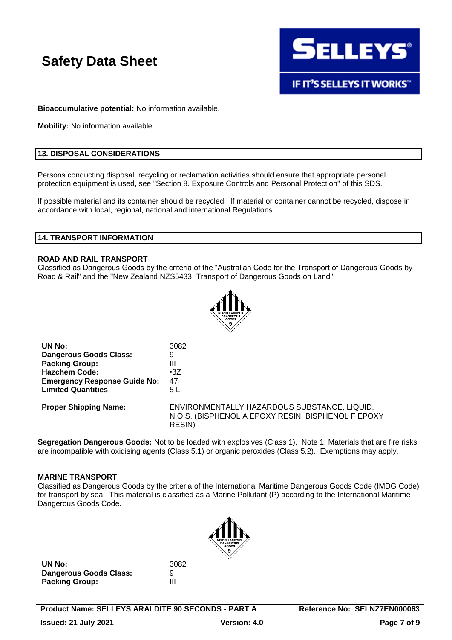

**IF IT'S SELLEYS IT WORKS"** 

**Bioaccumulative potential:** No information available.

**Mobility:** No information available.

# **13. DISPOSAL CONSIDERATIONS**

Persons conducting disposal, recycling or reclamation activities should ensure that appropriate personal protection equipment is used, see "Section 8. Exposure Controls and Personal Protection" of this SDS.

If possible material and its container should be recycled. If material or container cannot be recycled, dispose in accordance with local, regional, national and international Regulations.

### **14. TRANSPORT INFORMATION**

### **ROAD AND RAIL TRANSPORT**

Classified as Dangerous Goods by the criteria of the "Australian Code for the Transport of Dangerous Goods by Road & Rail" and the "New Zealand NZS5433: Transport of Dangerous Goods on Land".



| UN No:                              | 3082                                                                                                                |
|-------------------------------------|---------------------------------------------------------------------------------------------------------------------|
| Dangerous Goods Class:              | 9                                                                                                                   |
| <b>Packing Group:</b>               | Ш                                                                                                                   |
| <b>Hazchem Code:</b>                | $\cdot 37$                                                                                                          |
| <b>Emergency Response Guide No:</b> | 47                                                                                                                  |
| <b>Limited Quantities</b>           | 5 L                                                                                                                 |
| <b>Proper Shipping Name:</b>        | ENVIRONMENTALLY HAZARDOUS SUBSTANCE, LIQUID,<br>N.O.S. (BISPHENOL A EPOXY RESIN; BISPHENOL F EPOXY<br><b>RESIN)</b> |

**Segregation Dangerous Goods:** Not to be loaded with explosives (Class 1). Note 1: Materials that are fire risks are incompatible with oxidising agents (Class 5.1) or organic peroxides (Class 5.2). Exemptions may apply.

### **MARINE TRANSPORT**

Classified as Dangerous Goods by the criteria of the International Maritime Dangerous Goods Code (IMDG Code) for transport by sea. This material is classified as a Marine Pollutant (P) according to the International Maritime Dangerous Goods Code.



**UN No:** 3082 **Dangerous Goods Class:** 9 **Packing Group:** III

**Product Name: SELLEYS ARALDITE 90 SECONDS - PART A Reference No: SELNZ7EN000063 Issued: 21 July 2021 Version: 4.0 Page 7 of 9**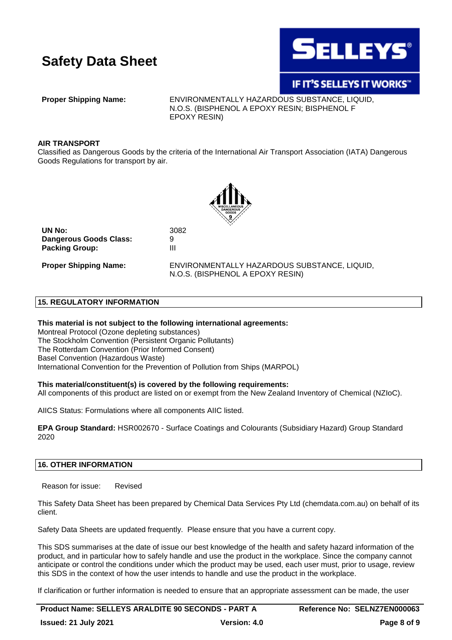

# IF IT'S SELLEYS IT WORKS"

**Proper Shipping Name:** ENVIRONMENTALLY HAZARDOUS SUBSTANCE, LIQUID, N.O.S. (BISPHENOL A EPOXY RESIN; BISPHENOL F EPOXY RESIN)

### **AIR TRANSPORT**

Classified as Dangerous Goods by the criteria of the International Air Transport Association (IATA) Dangerous Goods Regulations for transport by air.



**UN No:** 3082 **Dangerous Goods Class:** 9 **Packing Group:** III

**Proper Shipping Name:** ENVIRONMENTALLY HAZARDOUS SUBSTANCE, LIQUID, N.O.S. (BISPHENOL A EPOXY RESIN)

# **15. REGULATORY INFORMATION**

### **This material is not subject to the following international agreements:**

Montreal Protocol (Ozone depleting substances) The Stockholm Convention (Persistent Organic Pollutants) The Rotterdam Convention (Prior Informed Consent) Basel Convention (Hazardous Waste) International Convention for the Prevention of Pollution from Ships (MARPOL)

# **This material/constituent(s) is covered by the following requirements:**

All components of this product are listed on or exempt from the New Zealand Inventory of Chemical (NZIoC).

AIICS Status: Formulations where all components AIIC listed.

**EPA Group Standard:** HSR002670 - Surface Coatings and Colourants (Subsidiary Hazard) Group Standard 2020

# **16. OTHER INFORMATION**

Reason for issue: Revised

This Safety Data Sheet has been prepared by Chemical Data Services Pty Ltd (chemdata.com.au) on behalf of its client.

Safety Data Sheets are updated frequently. Please ensure that you have a current copy.

This SDS summarises at the date of issue our best knowledge of the health and safety hazard information of the product, and in particular how to safely handle and use the product in the workplace. Since the company cannot anticipate or control the conditions under which the product may be used, each user must, prior to usage, review this SDS in the context of how the user intends to handle and use the product in the workplace.

If clarification or further information is needed to ensure that an appropriate assessment can be made, the user